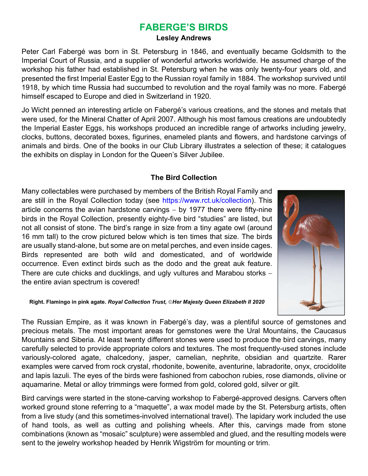## **FABERGE'S BIRDS**

## **Lesley Andrews**

Peter Carl Fabergé was born in St. Petersburg in 1846, and eventually became Goldsmith to the Imperial Court of Russia, and a supplier of wonderful artworks worldwide. He assumed charge of the workshop his father had established in St. Petersburg when he was only twenty-four years old, and presented the first Imperial Easter Egg to the Russian royal family in 1884. The workshop survived until 1918, by which time Russia had succumbed to revolution and the royal family was no more. Fabergé himself escaped to Europe and died in Switzerland in 1920.

Jo Wicht penned an interesting article on Fabergé's various creations, and the stones and metals that were used, for the Mineral Chatter of April 2007. Although his most famous creations are undoubtedly the Imperial Easter Eggs, his workshops produced an incredible range of artworks including jewelry, clocks, buttons, decorated boxes, figurines, enameled plants and flowers, and hardstone carvings of animals and birds. One of the books in our Club Library illustrates a selection of these; it catalogues the exhibits on display in London for the Queen's Silver Jubilee.

## **The Bird Collection**

Many collectables were purchased by members of the British Royal Family and are still in the Royal Collection today (see https://www.rct.uk/collection). This article concerns the avian hardstone carvings  $-$  by 1977 there were fifty-nine birds in the Royal Collection, presently eighty-five bird "studies" are listed, but not all consist of stone. The bird's range in size from a tiny agate owl (around 16 mm tall) to the crow pictured below which is ten times that size. The birds are usually stand-alone, but some are on metal perches, and even inside cages. Birds represented are both wild and domesticated, and of worldwide occurrence. Even extinct birds such as the dodo and the great auk feature. There are cute chicks and ducklings, and ugly vultures and Marabou storks the entire avian spectrum is covered!



**Right. Flamingo in pink agate.** *Royal Collection Trust, Her Majesty Queen Elizabeth II 2020*

The Russian Empire, as it was known in Fabergé's day, was a plentiful source of gemstones and precious metals. The most important areas for gemstones were the Ural Mountains, the Caucasus Mountains and Siberia. At least twenty different stones were used to produce the bird carvings, many carefully selected to provide appropriate colors and textures. The most frequently-used stones include variously-colored agate, chalcedony, jasper, carnelian, nephrite, obsidian and quartzite. Rarer examples were carved from rock crystal, rhodonite, bowenite, aventurine, labradorite, onyx, crocidolite and lapis lazuli. The eyes of the birds were fashioned from cabochon rubies, rose diamonds, olivine or aquamarine. Metal or alloy trimmings were formed from gold, colored gold, silver or gilt.

Bird carvings were started in the stone-carving workshop to Fabergé-approved designs. Carvers often worked ground stone referring to a "maquette", a wax model made by the St. Petersburg artists, often from a live study (and this sometimes-involved international travel). The lapidary work included the use of hand tools, as well as cutting and polishing wheels. After this, carvings made from stone combinations (known as "mosaic" sculpture) were assembled and glued, and the resulting models were sent to the jewelry workshop headed by Henrik Wigström for mounting or trim.